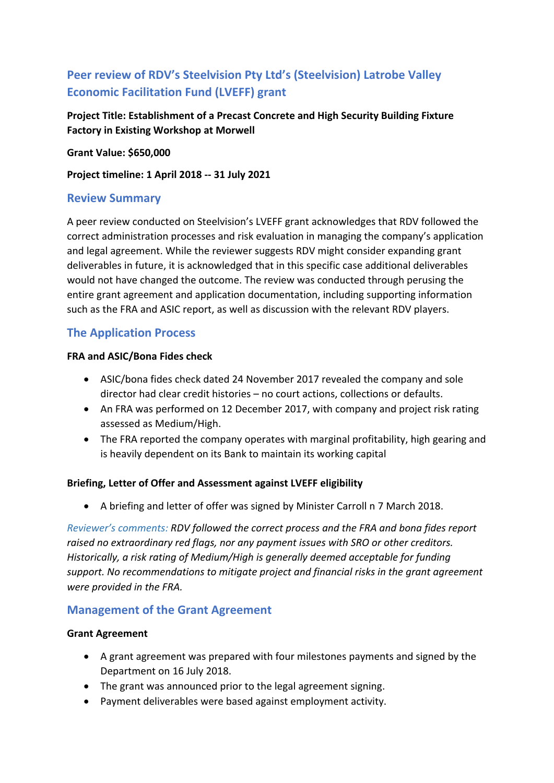# **Peer review of RDV's Steelvision Pty Ltd's (Steelvision) Latrobe Valley Economic Facilitation Fund (LVEFF) grant**

**Project Title: Establishment of a Precast Concrete and High Security Building Fixture Factory in Existing Workshop at Morwell** 

**Grant Value: \$650,000** 

**Project timeline: 1 April 2018 ‐‐ 31 July 2021** 

## **Review Summary**

A peer review conducted on Steelvision's LVEFF grant acknowledges that RDV followed the correct administration processes and risk evaluation in managing the company's application and legal agreement. While the reviewer suggests RDV might consider expanding grant deliverables in future, it is acknowledged that in this specific case additional deliverables would not have changed the outcome. The review was conducted through perusing the entire grant agreement and application documentation, including supporting information such as the FRA and ASIC report, as well as discussion with the relevant RDV players.

## **The Application Process**

#### **FRA and ASIC/Bona Fides check**

- ASIC/bona fides check dated 24 November 2017 revealed the company and sole director had clear credit histories – no court actions, collections or defaults.
- An FRA was performed on 12 December 2017, with company and project risk rating assessed as Medium/High.
- The FRA reported the company operates with marginal profitability, high gearing and is heavily dependent on its Bank to maintain its working capital

### **Briefing, Letter of Offer and Assessment against LVEFF eligibility**

A briefing and letter of offer was signed by Minister Carroll n 7 March 2018.

*Reviewer's comments: RDV followed the correct process and the FRA and bona fides report raised no extraordinary red flags, nor any payment issues with SRO or other creditors. Historically, a risk rating of Medium/High is generally deemed acceptable for funding support. No recommendations to mitigate project and financial risks in the grant agreement were provided in the FRA.* 

## **Management of the Grant Agreement**

#### **Grant Agreement**

- A grant agreement was prepared with four milestones payments and signed by the Department on 16 July 2018.
- The grant was announced prior to the legal agreement signing.
- Payment deliverables were based against employment activity.